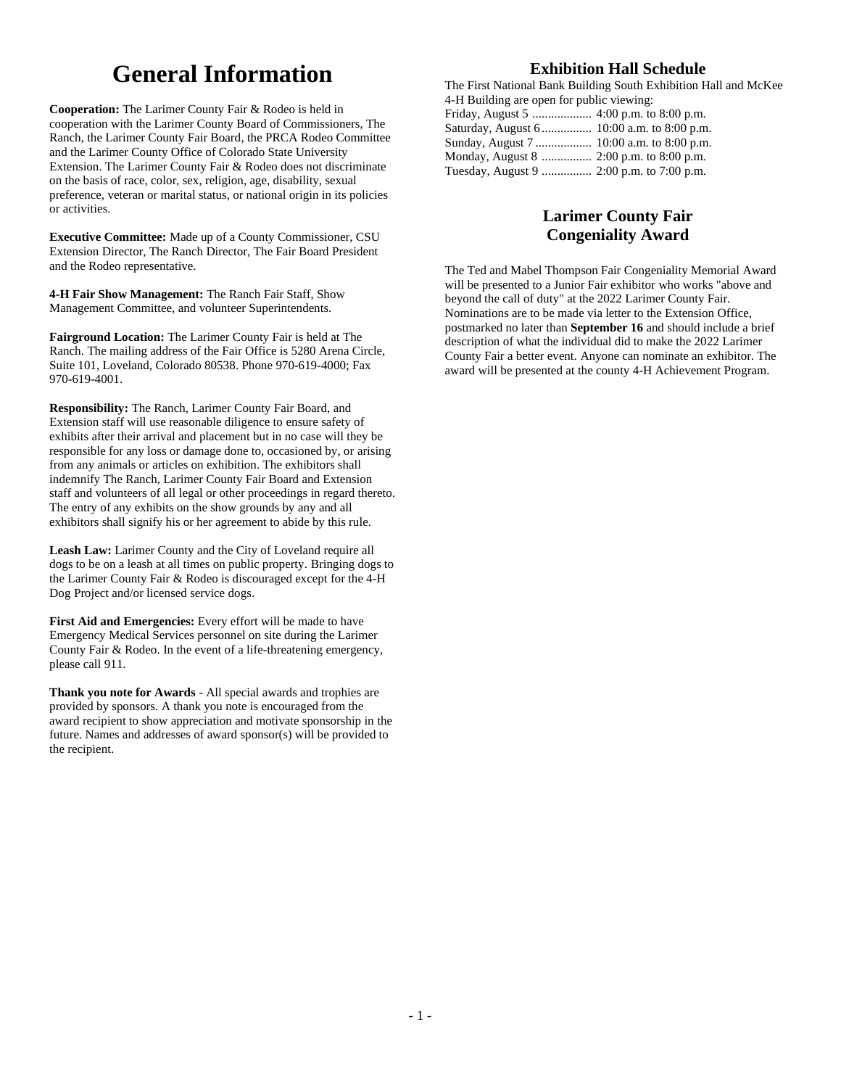# **General Information**

**Cooperation:** The Larimer County Fair & Rodeo is held in cooperation with the Larimer County Board of Commissioners, The Ranch, the Larimer County Fair Board, the PRCA Rodeo Committee and the Larimer County Office of Colorado State University Extension. The Larimer County Fair & Rodeo does not discriminate on the basis of race, color, sex, religion, age, disability, sexual preference, veteran or marital status, or national origin in its policies or activities.

**Executive Committee:** Made up of a County Commissioner, CSU Extension Director, The Ranch Director, The Fair Board President and the Rodeo representative.

**4-H Fair Show Management:** The Ranch Fair Staff, Show Management Committee, and volunteer Superintendents.

**Fairground Location:** The Larimer County Fair is held at The Ranch. The mailing address of the Fair Office is 5280 Arena Circle, Suite 101, Loveland, Colorado 80538. Phone 970-619-4000; Fax 970-619-4001.

**Responsibility:** The Ranch, Larimer County Fair Board, and Extension staff will use reasonable diligence to ensure safety of exhibits after their arrival and placement but in no case will they be responsible for any loss or damage done to, occasioned by, or arising from any animals or articles on exhibition. The exhibitors shall indemnify The Ranch, Larimer County Fair Board and Extension staff and volunteers of all legal or other proceedings in regard thereto. The entry of any exhibits on the show grounds by any and all exhibitors shall signify his or her agreement to abide by this rule.

**Leash Law:** Larimer County and the City of Loveland require all dogs to be on a leash at all times on public property. Bringing dogs to the Larimer County Fair & Rodeo is discouraged except for the 4-H Dog Project and/or licensed service dogs.

**First Aid and Emergencies:** Every effort will be made to have Emergency Medical Services personnel on site during the Larimer County Fair & Rodeo. In the event of a life-threatening emergency, please call 911.

**Thank you note for Awards** - All special awards and trophies are provided by sponsors. A thank you note is encouraged from the award recipient to show appreciation and motivate sponsorship in the future. Names and addresses of award sponsor(s) will be provided to the recipient.

## **Exhibition Hall Schedule**

The First National Bank Building South Exhibition Hall and McKee 4-H Building are open for public viewing: Friday, August 5 ................... 4:00 p.m. to 8:00 p.m. Saturday, August 6 ................ 10:00 a.m. to 8:00 p.m. Sunday, August 7 .................. 10:00 a.m. to 8:00 p.m.

## **Larimer County Fair Congeniality Award**

The Ted and Mabel Thompson Fair Congeniality Memorial Award will be presented to a Junior Fair exhibitor who works "above and beyond the call of duty" at the 2022 Larimer County Fair. Nominations are to be made via letter to the Extension Office, postmarked no later than **September 16** and should include a brief description of what the individual did to make the 2022 Larimer County Fair a better event. Anyone can nominate an exhibitor. The award will be presented at the county 4-H Achievement Program.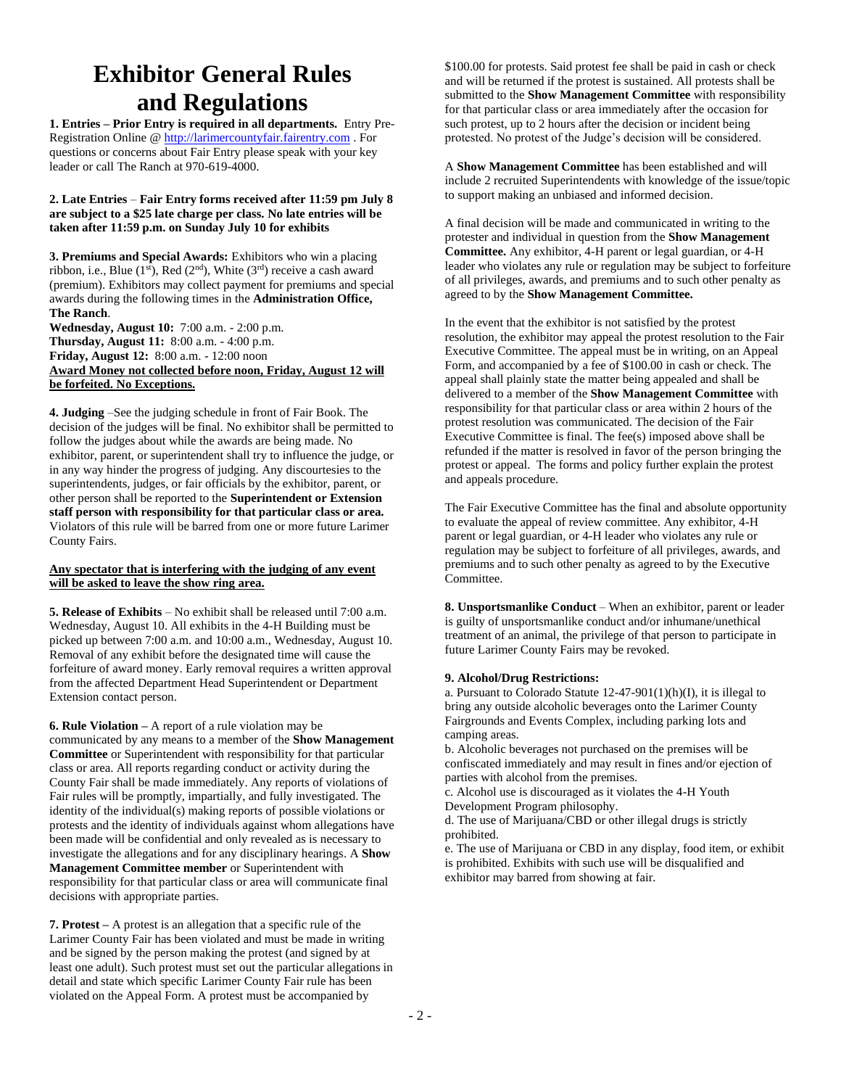# **Exhibitor General Rules and Regulations**

**1. Entries – Prior Entry is required in all departments.** Entry Pre-Registration Online [@ http://larimercountyfair.fairentry.com](http://larimercountyfair.fairentry.com/) . For questions or concerns about Fair Entry please speak with your key leader or call The Ranch at 970-619-4000.

#### **2. Late Entries** – **Fair Entry forms received after 11:59 pm July 8 are subject to a \$25 late charge per class. No late entries will be taken after 11:59 p.m. on Sunday July 10 for exhibits**

**3. Premiums and Special Awards:** Exhibitors who win a placing ribbon, i.e., Blue (1st), Red (2nd), White (3rd) receive a cash award (premium). Exhibitors may collect payment for premiums and special awards during the following times in the **Administration Office, The Ranch**.

**Wednesday, August 10:** 7:00 a.m. - 2:00 p.m. **Thursday, August 11:** 8:00 a.m. - 4:00 p.m. **Friday, August 12:** 8:00 a.m. - 12:00 noon **Award Money not collected before noon, Friday, August 12 will be forfeited. No Exceptions.**

**4. Judging** –See the judging schedule in front of Fair Book. The decision of the judges will be final. No exhibitor shall be permitted to follow the judges about while the awards are being made. No exhibitor, parent, or superintendent shall try to influence the judge, or in any way hinder the progress of judging. Any discourtesies to the superintendents, judges, or fair officials by the exhibitor, parent, or other person shall be reported to the **Superintendent or Extension staff person with responsibility for that particular class or area.**  Violators of this rule will be barred from one or more future Larimer County Fairs.

#### **Any spectator that is interfering with the judging of any event will be asked to leave the show ring area.**

**5. Release of Exhibits** – No exhibit shall be released until 7:00 a.m. Wednesday, August 10. All exhibits in the 4-H Building must be picked up between 7:00 a.m. and 10:00 a.m., Wednesday, August 10. Removal of any exhibit before the designated time will cause the forfeiture of award money. Early removal requires a written approval from the affected Department Head Superintendent or Department Extension contact person.

**6. Rule Violation –** A report of a rule violation may be communicated by any means to a member of the **Show Management Committee** or Superintendent with responsibility for that particular class or area. All reports regarding conduct or activity during the County Fair shall be made immediately. Any reports of violations of Fair rules will be promptly, impartially, and fully investigated. The identity of the individual(s) making reports of possible violations or protests and the identity of individuals against whom allegations have been made will be confidential and only revealed as is necessary to investigate the allegations and for any disciplinary hearings. A **Show Management Committee member** or Superintendent with responsibility for that particular class or area will communicate final decisions with appropriate parties.

**7. Protest –** A protest is an allegation that a specific rule of the Larimer County Fair has been violated and must be made in writing and be signed by the person making the protest (and signed by at least one adult). Such protest must set out the particular allegations in detail and state which specific Larimer County Fair rule has been violated on the Appeal Form. A protest must be accompanied by

\$100.00 for protests. Said protest fee shall be paid in cash or check and will be returned if the protest is sustained. All protests shall be submitted to the **Show Management Committee** with responsibility for that particular class or area immediately after the occasion for such protest, up to 2 hours after the decision or incident being protested. No protest of the Judge's decision will be considered.

A **Show Management Committee** has been established and will include 2 recruited Superintendents with knowledge of the issue/topic to support making an unbiased and informed decision.

A final decision will be made and communicated in writing to the protester and individual in question from the **Show Management Committee.** Any exhibitor, 4-H parent or legal guardian, or 4-H leader who violates any rule or regulation may be subject to forfeiture of all privileges, awards, and premiums and to such other penalty as agreed to by the **Show Management Committee.**

In the event that the exhibitor is not satisfied by the protest resolution, the exhibitor may appeal the protest resolution to the Fair Executive Committee. The appeal must be in writing, on an Appeal Form, and accompanied by a fee of \$100.00 in cash or check. The appeal shall plainly state the matter being appealed and shall be delivered to a member of the **Show Management Committee** with responsibility for that particular class or area within 2 hours of the protest resolution was communicated. The decision of the Fair Executive Committee is final. The fee(s) imposed above shall be refunded if the matter is resolved in favor of the person bringing the protest or appeal. The forms and policy further explain the protest and appeals procedure.

The Fair Executive Committee has the final and absolute opportunity to evaluate the appeal of review committee. Any exhibitor, 4-H parent or legal guardian, or 4-H leader who violates any rule or regulation may be subject to forfeiture of all privileges, awards, and premiums and to such other penalty as agreed to by the Executive Committee.

**8. Unsportsmanlike Conduct** – When an exhibitor, parent or leader is guilty of unsportsmanlike conduct and/or inhumane/unethical treatment of an animal, the privilege of that person to participate in future Larimer County Fairs may be revoked.

#### **9. Alcohol/Drug Restrictions:**

a. Pursuant to Colorado Statute  $12-47-901(1)(h)(I)$ , it is illegal to bring any outside alcoholic beverages onto the Larimer County Fairgrounds and Events Complex, including parking lots and camping areas.

b. Alcoholic beverages not purchased on the premises will be confiscated immediately and may result in fines and/or ejection of parties with alcohol from the premises.

c. Alcohol use is discouraged as it violates the 4-H Youth Development Program philosophy.

d. The use of Marijuana/CBD or other illegal drugs is strictly prohibited.

e. The use of Marijuana or CBD in any display, food item, or exhibit is prohibited. Exhibits with such use will be disqualified and exhibitor may barred from showing at fair.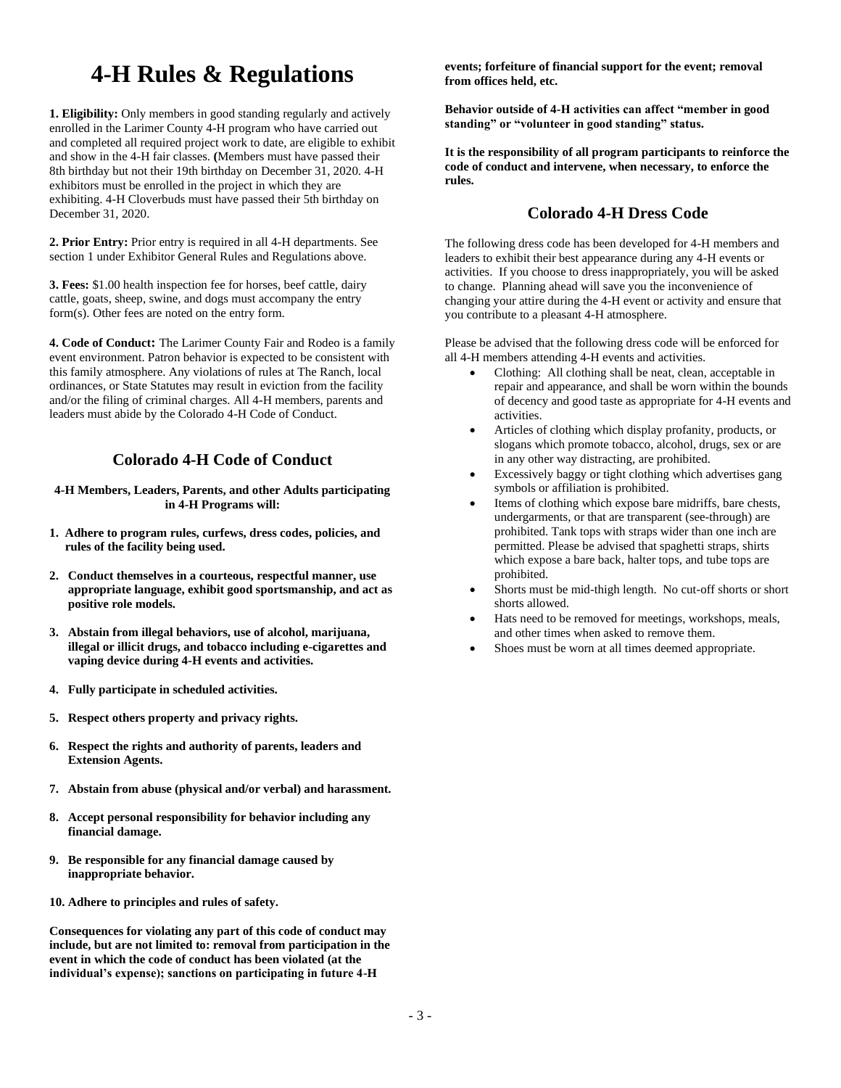# **4-H Rules & Regulations**

**1. Eligibility:** Only members in good standing regularly and actively enrolled in the Larimer County 4-H program who have carried out and completed all required project work to date, are eligible to exhibit and show in the 4-H fair classes. **(**Members must have passed their 8th birthday but not their 19th birthday on December 31, 2020. 4-H exhibitors must be enrolled in the project in which they are exhibiting. 4-H Cloverbuds must have passed their 5th birthday on December 31, 2020.

**2. Prior Entry:** Prior entry is required in all 4-H departments. See section 1 under Exhibitor General Rules and Regulations above.

**3. Fees:** \$1.00 health inspection fee for horses, beef cattle, dairy cattle, goats, sheep, swine, and dogs must accompany the entry form(s). Other fees are noted on the entry form.

**4. Code of Conduct:** The Larimer County Fair and Rodeo is a family event environment. Patron behavior is expected to be consistent with this family atmosphere. Any violations of rules at The Ranch, local ordinances, or State Statutes may result in eviction from the facility and/or the filing of criminal charges. All 4-H members, parents and leaders must abide by the Colorado 4-H Code of Conduct.

## **Colorado 4-H Code of Conduct**

**4-H Members, Leaders, Parents, and other Adults participating in 4-H Programs will:**

- **1. Adhere to program rules, curfews, dress codes, policies, and rules of the facility being used.**
- **2. Conduct themselves in a courteous, respectful manner, use appropriate language, exhibit good sportsmanship, and act as positive role models.**
- **3. Abstain from illegal behaviors, use of alcohol, marijuana, illegal or illicit drugs, and tobacco including e-cigarettes and vaping device during 4-H events and activities.**
- **4. Fully participate in scheduled activities.**
- **5. Respect others property and privacy rights.**
- **6. Respect the rights and authority of parents, leaders and Extension Agents.**
- **7. Abstain from abuse (physical and/or verbal) and harassment.**
- **8. Accept personal responsibility for behavior including any financial damage.**
- **9. Be responsible for any financial damage caused by inappropriate behavior.**
- **10. Adhere to principles and rules of safety.**

**Consequences for violating any part of this code of conduct may include, but are not limited to: removal from participation in the event in which the code of conduct has been violated (at the individual's expense); sanctions on participating in future 4-H** 

**events; forfeiture of financial support for the event; removal from offices held, etc.**

**Behavior outside of 4-H activities can affect "member in good standing" or "volunteer in good standing" status.**

**It is the responsibility of all program participants to reinforce the code of conduct and intervene, when necessary, to enforce the rules.**

## **Colorado 4-H Dress Code**

The following dress code has been developed for 4-H members and leaders to exhibit their best appearance during any 4-H events or activities. If you choose to dress inappropriately, you will be asked to change. Planning ahead will save you the inconvenience of changing your attire during the 4-H event or activity and ensure that you contribute to a pleasant 4-H atmosphere.

Please be advised that the following dress code will be enforced for all 4-H members attending 4-H events and activities.

- Clothing: All clothing shall be neat, clean, acceptable in repair and appearance, and shall be worn within the bounds of decency and good taste as appropriate for 4-H events and activities.
- Articles of clothing which display profanity, products, or slogans which promote tobacco, alcohol, drugs, sex or are in any other way distracting, are prohibited.
- Excessively baggy or tight clothing which advertises gang symbols or affiliation is prohibited.
- Items of clothing which expose bare midriffs, bare chests, undergarments, or that are transparent (see-through) are prohibited. Tank tops with straps wider than one inch are permitted. Please be advised that spaghetti straps, shirts which expose a bare back, halter tops, and tube tops are prohibited.
- Shorts must be mid-thigh length. No cut-off shorts or short shorts allowed.
- Hats need to be removed for meetings, workshops, meals, and other times when asked to remove them.
- Shoes must be worn at all times deemed appropriate.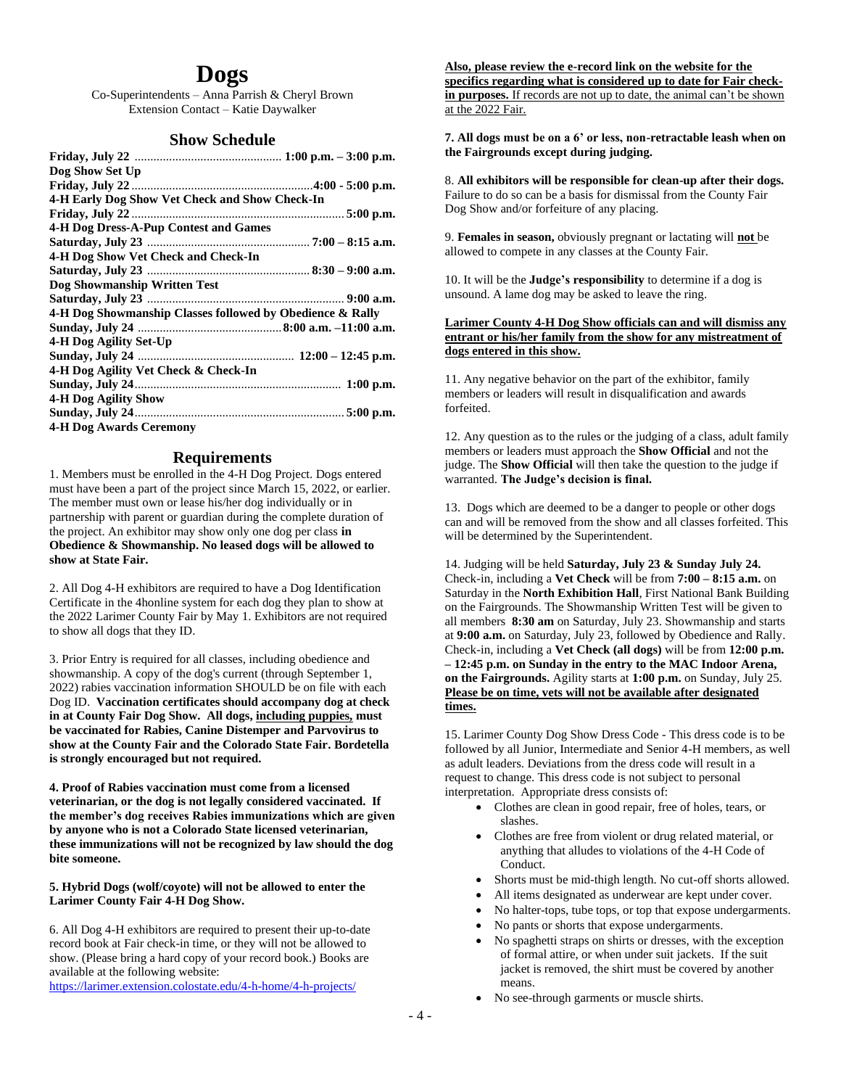## **Dogs**

Co-Superintendents – Anna Parrish & Cheryl Brown Extension Contact – Katie Daywalker

#### **Show Schedule**

| Dog Show Set Up                                           |  |
|-----------------------------------------------------------|--|
|                                                           |  |
| 4-H Early Dog Show Vet Check and Show Check-In            |  |
|                                                           |  |
| <b>4-H Dog Dress-A-Pup Contest and Games</b>              |  |
|                                                           |  |
| 4-H Dog Show Vet Check and Check-In                       |  |
|                                                           |  |
| Dog Showmanship Written Test                              |  |
|                                                           |  |
| 4-H Dog Showmanship Classes followed by Obedience & Rally |  |
|                                                           |  |
| 4-H Dog Agility Set-Up                                    |  |
|                                                           |  |
| 4-H Dog Agility Vet Check & Check-In                      |  |
|                                                           |  |
| <b>4-H Dog Agility Show</b>                               |  |
|                                                           |  |
| <b>4-H Dog Awards Ceremony</b>                            |  |

#### **Requirements**

1. Members must be enrolled in the 4-H Dog Project. Dogs entered must have been a part of the project since March 15, 2022, or earlier. The member must own or lease his/her dog individually or in partnership with parent or guardian during the complete duration of the project. An exhibitor may show only one dog per class **in Obedience & Showmanship. No leased dogs will be allowed to show at State Fair.**

2. All Dog 4-H exhibitors are required to have a Dog Identification Certificate in the 4honline system for each dog they plan to show at the 2022 Larimer County Fair by May 1. Exhibitors are not required to show all dogs that they ID.

3. Prior Entry is required for all classes, including obedience and showmanship. A copy of the dog's current (through September 1, 2022) rabies vaccination information SHOULD be on file with each Dog ID. **Vaccination certificates should accompany dog at check in at County Fair Dog Show. All dogs, including puppies, must be vaccinated for Rabies, Canine Distemper and Parvovirus to show at the County Fair and the Colorado State Fair. Bordetella is strongly encouraged but not required.**

**4. Proof of Rabies vaccination must come from a licensed veterinarian, or the dog is not legally considered vaccinated. If the member's dog receives Rabies immunizations which are given by anyone who is not a Colorado State licensed veterinarian, these immunizations will not be recognized by law should the dog bite someone.**

**5. Hybrid Dogs (wolf/coyote) will not be allowed to enter the Larimer County Fair 4-H Dog Show.**

6. All Dog 4-H exhibitors are required to present their up-to-date record book at Fair check-in time, or they will not be allowed to show. (Please bring a hard copy of your record book.) Books are available at the following website:

<https://larimer.extension.colostate.edu/4-h-home/4-h-projects/>

**Also, please review the e-record link on the website for the specifics regarding what is considered up to date for Fair checkin purposes.** If records are not up to date, the animal can't be shown at the 2022 Fair.

**7. All dogs must be on a 6' or less, non-retractable leash when on the Fairgrounds except during judging.**

8. **All exhibitors will be responsible for clean-up after their dogs.**  Failure to do so can be a basis for dismissal from the County Fair Dog Show and/or forfeiture of any placing.

9. **Females in season,** obviously pregnant or lactating will **not** be allowed to compete in any classes at the County Fair.

10. It will be the **Judge's responsibility** to determine if a dog is unsound. A lame dog may be asked to leave the ring.

#### **Larimer County 4-H Dog Show officials can and will dismiss any entrant or his/her family from the show for any mistreatment of dogs entered in this show.**

11. Any negative behavior on the part of the exhibitor, family members or leaders will result in disqualification and awards forfeited.

12. Any question as to the rules or the judging of a class, adult family members or leaders must approach the **Show Official** and not the judge. The **Show Official** will then take the question to the judge if warranted. **The Judge's decision is final.**

13. Dogs which are deemed to be a danger to people or other dogs can and will be removed from the show and all classes forfeited. This will be determined by the Superintendent.

14. Judging will be held **Saturday, July 23 & Sunday July 24.** Check-in, including a **Vet Check** will be from **7:00 – 8:15 a.m.** on Saturday in the **North Exhibition Hall**, First National Bank Building on the Fairgrounds. The Showmanship Written Test will be given to all members **8:30 am** on Saturday, July 23. Showmanship and starts at **9:00 a.m.** on Saturday, July 23, followed by Obedience and Rally. Check-in, including a **Vet Check (all dogs)** will be from **12:00 p.m. – 12:45 p.m. on Sunday in the entry to the MAC Indoor Arena, on the Fairgrounds.** Agility starts at **1:00 p.m.** on Sunday, July 25. **Please be on time, vets will not be available after designated times.**

15. Larimer County Dog Show Dress Code - This dress code is to be followed by all Junior, Intermediate and Senior 4-H members, as well as adult leaders. Deviations from the dress code will result in a request to change. This dress code is not subject to personal interpretation. Appropriate dress consists of:

- Clothes are clean in good repair, free of holes, tears, or slashes.
- Clothes are free from violent or drug related material, or anything that alludes to violations of the 4-H Code of Conduct.
- Shorts must be mid-thigh length. No cut-off shorts allowed.
- All items designated as underwear are kept under cover.
- No halter-tops, tube tops, or top that expose undergarments.
- No pants or shorts that expose undergarments.
- No spaghetti straps on shirts or dresses, with the exception of formal attire, or when under suit jackets. If the suit jacket is removed, the shirt must be covered by another means.
- No see-through garments or muscle shirts.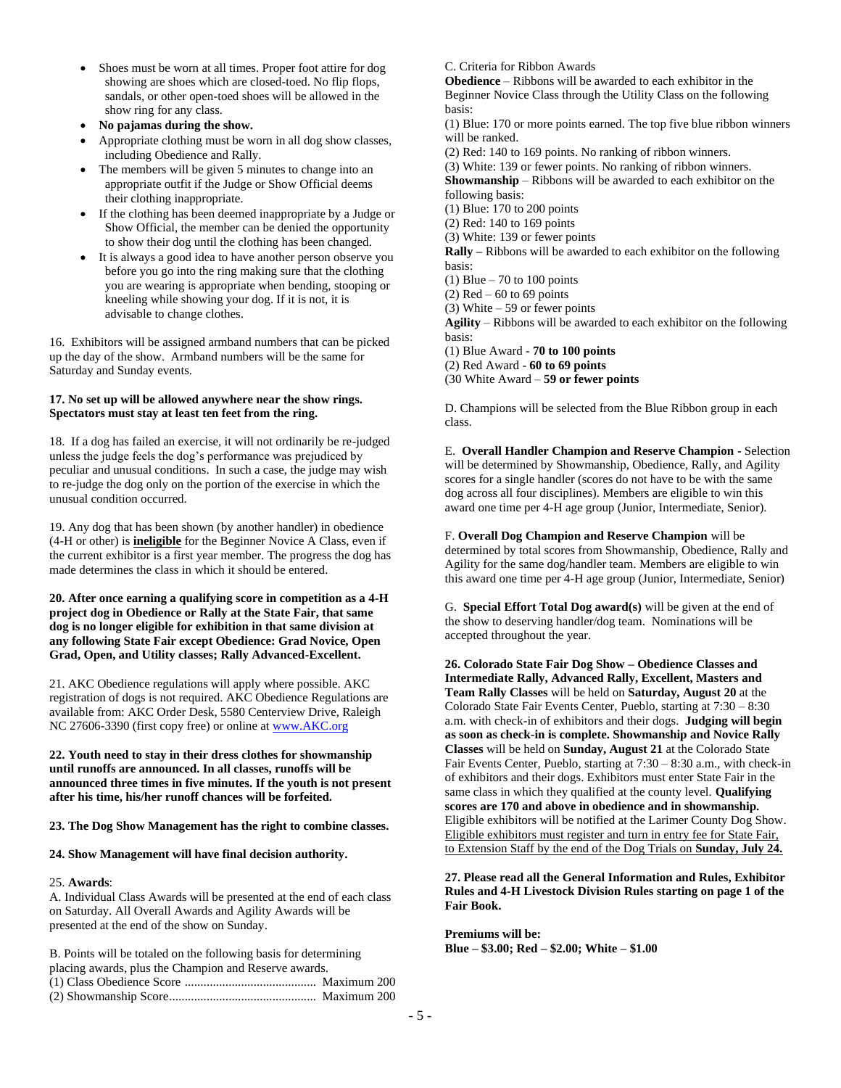- Shoes must be worn at all times. Proper foot attire for dog showing are shoes which are closed-toed. No flip flops, sandals, or other open-toed shoes will be allowed in the show ring for any class.
- **No pajamas during the show.**
- Appropriate clothing must be worn in all dog show classes, including Obedience and Rally.
- The members will be given 5 minutes to change into an appropriate outfit if the Judge or Show Official deems their clothing inappropriate.
- If the clothing has been deemed inappropriate by a Judge or Show Official, the member can be denied the opportunity to show their dog until the clothing has been changed.
- It is always a good idea to have another person observe you before you go into the ring making sure that the clothing you are wearing is appropriate when bending, stooping or kneeling while showing your dog. If it is not, it is advisable to change clothes.

16. Exhibitors will be assigned armband numbers that can be picked up the day of the show. Armband numbers will be the same for Saturday and Sunday events.

#### **17. No set up will be allowed anywhere near the show rings. Spectators must stay at least ten feet from the ring.**

18. If a dog has failed an exercise, it will not ordinarily be re-judged unless the judge feels the dog's performance was prejudiced by peculiar and unusual conditions. In such a case, the judge may wish to re-judge the dog only on the portion of the exercise in which the unusual condition occurred.

19. Any dog that has been shown (by another handler) in obedience (4-H or other) is **ineligible** for the Beginner Novice A Class, even if the current exhibitor is a first year member. The progress the dog has made determines the class in which it should be entered.

#### **20. After once earning a qualifying score in competition as a 4-H project dog in Obedience or Rally at the State Fair, that same dog is no longer eligible for exhibition in that same division at any following State Fair except Obedience: Grad Novice, Open Grad, Open, and Utility classes; Rally Advanced-Excellent.**

21. AKC Obedience regulations will apply where possible. AKC registration of dogs is not required. AKC Obedience Regulations are available from: AKC Order Desk, 5580 Centerview Drive, Raleigh NC 27606-3390 (first copy free) or online a[t www.AKC.org](http://www.akc.org/)

**22. Youth need to stay in their dress clothes for showmanship until runoffs are announced. In all classes, runoffs will be announced three times in five minutes. If the youth is not present after his time, his/her runoff chances will be forfeited.**

**23. The Dog Show Management has the right to combine classes.**

#### **24. Show Management will have final decision authority.**

#### 25. **Awards**:

A. Individual Class Awards will be presented at the end of each class on Saturday. All Overall Awards and Agility Awards will be presented at the end of the show on Sunday.

B. Points will be totaled on the following basis for determining placing awards, plus the Champion and Reserve awards. (1) Class Obedience Score .......................................... Maximum 200 (2) Showmanship Score............................................... Maximum 200 C. Criteria for Ribbon Awards

**Obedience** – Ribbons will be awarded to each exhibitor in the Beginner Novice Class through the Utility Class on the following basis:

(1) Blue: 170 or more points earned. The top five blue ribbon winners will be ranked.

(2) Red: 140 to 169 points. No ranking of ribbon winners.

(3) White: 139 or fewer points. No ranking of ribbon winners. **Showmanship** – Ribbons will be awarded to each exhibitor on the

following basis:

(1) Blue: 170 to 200 points

(2) Red: 140 to 169 points

(3) White: 139 or fewer points

**Rally –** Ribbons will be awarded to each exhibitor on the following basis:

(1) Blue  $-70$  to 100 points

 $(2)$  Red – 60 to 69 points

(3) White  $-59$  or fewer points

**Agility** – Ribbons will be awarded to each exhibitor on the following basis:

(1) Blue Award - **70 to 100 points**

(2) Red Award - **60 to 69 points**

(30 White Award – **59 or fewer points**

D. Champions will be selected from the Blue Ribbon group in each class.

E. **Overall Handler Champion and Reserve Champion -** Selection will be determined by Showmanship, Obedience, Rally, and Agility scores for a single handler (scores do not have to be with the same dog across all four disciplines). Members are eligible to win this award one time per 4-H age group (Junior, Intermediate, Senior).

F. **Overall Dog Champion and Reserve Champion** will be determined by total scores from Showmanship, Obedience, Rally and Agility for the same dog/handler team. Members are eligible to win this award one time per 4-H age group (Junior, Intermediate, Senior)

G. **Special Effort Total Dog award(s)** will be given at the end of the show to deserving handler/dog team. Nominations will be accepted throughout the year.

**26. Colorado State Fair Dog Show – Obedience Classes and Intermediate Rally, Advanced Rally, Excellent, Masters and Team Rally Classes** will be held on **Saturday, August 20** at the Colorado State Fair Events Center, Pueblo, starting at 7:30 – 8:30 a.m. with check-in of exhibitors and their dogs. **Judging will begin as soon as check-in is complete. Showmanship and Novice Rally Classes** will be held on **Sunday, August 21** at the Colorado State Fair Events Center, Pueblo, starting at 7:30 – 8:30 a.m., with check-in of exhibitors and their dogs. Exhibitors must enter State Fair in the same class in which they qualified at the county level. **Qualifying scores are 170 and above in obedience and in showmanship.** Eligible exhibitors will be notified at the Larimer County Dog Show. Eligible exhibitors must register and turn in entry fee for State Fair, to Extension Staff by the end of the Dog Trials on **Sunday, July 24.**

**27. Please read all the General Information and Rules, Exhibitor Rules and 4-H Livestock Division Rules starting on page 1 of the Fair Book.**

**Premiums will be: Blue – \$3.00; Red – \$2.00; White – \$1.00**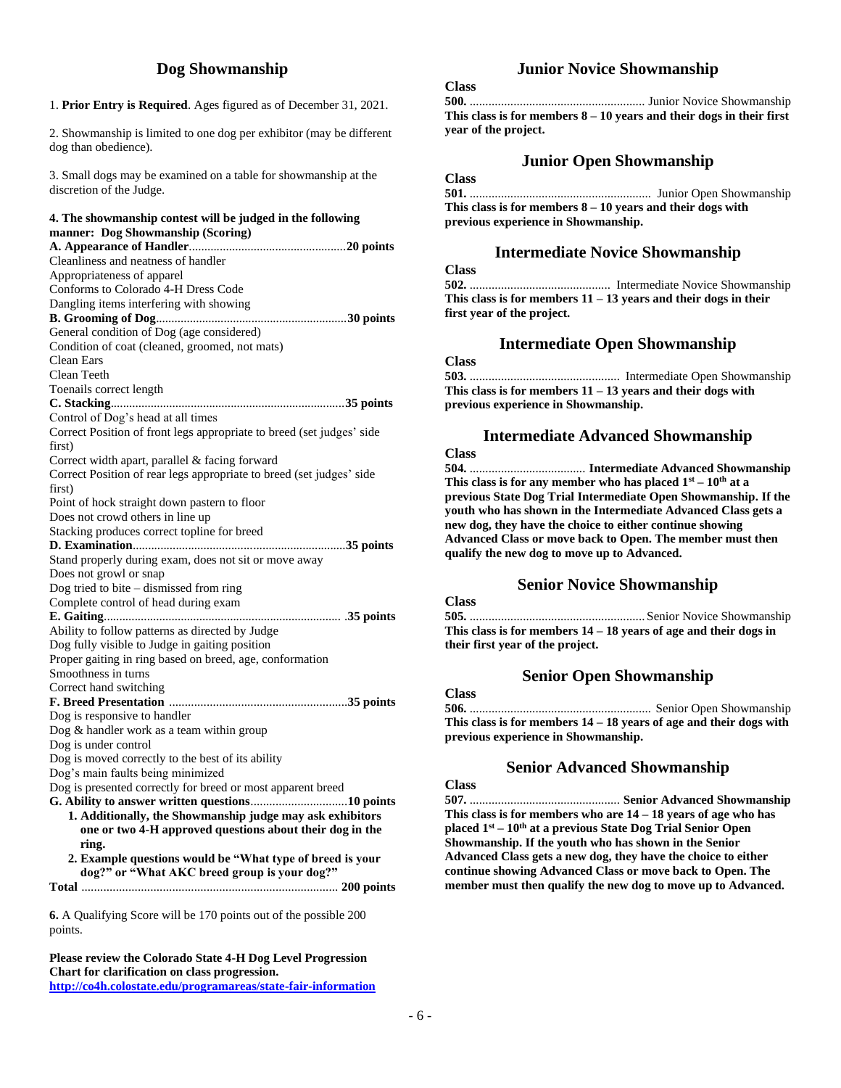## **Dog Showmanship**

1. **Prior Entry is Required**. Ages figured as of December 31, 2021.

2. Showmanship is limited to one dog per exhibitor (may be different dog than obedience).

3. Small dogs may be examined on a table for showmanship at the discretion of the Judge.

#### **4. The showmanship contest will be judged in the following manner: Dog Showmanship (Scoring)**

**6.** A Qualifying Score will be 170 points out of the possible 200 points.

**Please review the Colorado State 4-H Dog Level Progression Chart for clarification on class progression. <http://co4h.colostate.edu/programareas/state-fair-information>**

## **Junior Novice Showmanship**

### **Class**

**500.** ........................................................ Junior Novice Showmanship **This class is for members 8 – 10 years and their dogs in their first year of the project.** 

## **Junior Open Showmanship**

## **Class**

**501.** .......................................................... Junior Open Showmanship **This class is for members 8 – 10 years and their dogs with previous experience in Showmanship.**

#### **Intermediate Novice Showmanship**

**Class**

**502.** ............................................. Intermediate Novice Showmanship **This class is for members 11 – 13 years and their dogs in their first year of the project.**

#### **Intermediate Open Showmanship**

#### **Class**

**503.** ................................................ Intermediate Open Showmanship **This class is for members 11 – 13 years and their dogs with previous experience in Showmanship.**

#### **Intermediate Advanced Showmanship**

**Class**

**Class**

**Class**

**504.** ..................................... **Intermediate Advanced Showmanship** This class is for any member who has placed  $1<sup>st</sup> - 10<sup>th</sup>$  at a **previous State Dog Trial Intermediate Open Showmanship. If the youth who has shown in the Intermediate Advanced Class gets a new dog, they have the choice to either continue showing Advanced Class or move back to Open. The member must then qualify the new dog to move up to Advanced.**

#### **Senior Novice Showmanship**

| <b>Class</b>                                                       |  |
|--------------------------------------------------------------------|--|
|                                                                    |  |
| This class is for members $14 - 18$ years of age and their dogs in |  |
| their first year of the project.                                   |  |

## **Senior Open Showmanship**

| UIASS.                                                               |  |
|----------------------------------------------------------------------|--|
|                                                                      |  |
| This class is for members $14 - 18$ years of age and their dogs with |  |
| previous experience in Showmanship.                                  |  |

#### **Senior Advanced Showmanship**

**507.** ................................................ **Senior Advanced Showmanship This class is for members who are 14 – 18 years of age who has placed 1st – 10th at a previous State Dog Trial Senior Open Showmanship. If the youth who has shown in the Senior Advanced Class gets a new dog, they have the choice to either continue showing Advanced Class or move back to Open. The member must then qualify the new dog to move up to Advanced.**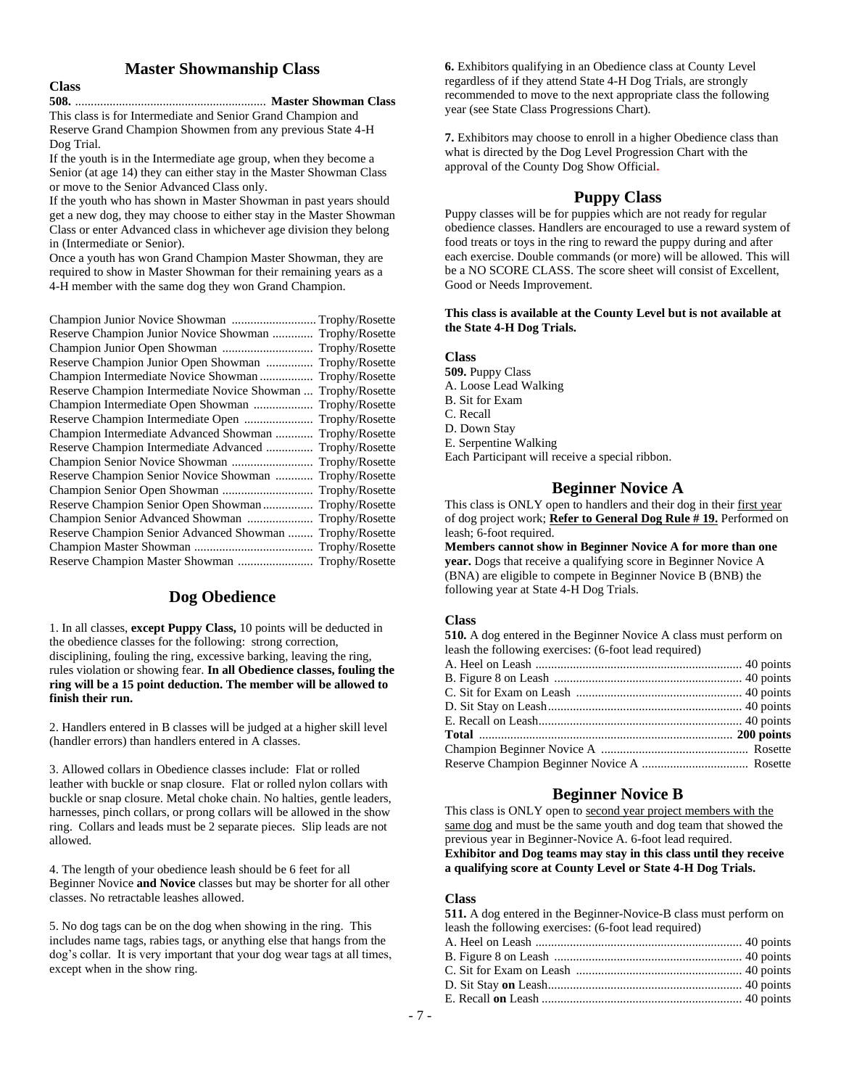#### **Master Showmanship Class**

| M.<br>۰,<br>۰, |  |
|----------------|--|
|                |  |

**508.** ............................................................. **Master Showman Class** This class is for Intermediate and Senior Grand Champion and Reserve Grand Champion Showmen from any previous State 4-H

Dog Trial. If the youth is in the Intermediate age group, when they become a

Senior (at age 14) they can either stay in the Master Showman Class or move to the Senior Advanced Class only.

If the youth who has shown in Master Showman in past years should get a new dog, they may choose to either stay in the Master Showman Class or enter Advanced class in whichever age division they belong in (Intermediate or Senior).

Once a youth has won Grand Champion Master Showman, they are required to show in Master Showman for their remaining years as a 4-H member with the same dog they won Grand Champion.

| Champion Junior Novice Showman  Trophy/Rosette               |                |
|--------------------------------------------------------------|----------------|
| Reserve Champion Junior Novice Showman  Trophy/Rosette       |                |
|                                                              |                |
| Reserve Champion Junior Open Showman  Trophy/Rosette         |                |
| Champion Intermediate Novice Showman  Trophy/Rosette         |                |
| Reserve Champion Intermediate Novice Showman  Trophy/Rosette |                |
| Champion Intermediate Open Showman                           | Trophy/Rosette |
|                                                              | Trophy/Rosette |
| Champion Intermediate Advanced Showman                       | Trophy/Rosette |
| Reserve Champion Intermediate Advanced                       | Trophy/Rosette |
|                                                              | Trophy/Rosette |
| Reserve Champion Senior Novice Showman                       | Trophy/Rosette |
|                                                              | Trophy/Rosette |
|                                                              | Trophy/Rosette |
| Champion Senior Advanced Showman                             | Trophy/Rosette |
| Reserve Champion Senior Advanced Showman                     | Trophy/Rosette |
|                                                              |                |
|                                                              |                |

## **Dog Obedience**

1. In all classes, **except Puppy Class,** 10 points will be deducted in the obedience classes for the following: strong correction, disciplining, fouling the ring, excessive barking, leaving the ring, rules violation or showing fear. **In all Obedience classes, fouling the ring will be a 15 point deduction. The member will be allowed to finish their run.**

2. Handlers entered in B classes will be judged at a higher skill level (handler errors) than handlers entered in A classes.

3. Allowed collars in Obedience classes include: Flat or rolled leather with buckle or snap closure. Flat or rolled nylon collars with buckle or snap closure. Metal choke chain. No halties, gentle leaders, harnesses, pinch collars, or prong collars will be allowed in the show ring. Collars and leads must be 2 separate pieces. Slip leads are not allowed.

4. The length of your obedience leash should be 6 feet for all Beginner Novice **and Novice** classes but may be shorter for all other classes. No retractable leashes allowed.

5. No dog tags can be on the dog when showing in the ring. This includes name tags, rabies tags, or anything else that hangs from the dog's collar. It is very important that your dog wear tags at all times, except when in the show ring.

**6.** Exhibitors qualifying in an Obedience class at County Level regardless of if they attend State 4-H Dog Trials, are strongly recommended to move to the next appropriate class the following year (see State Class Progressions Chart).

**7.** Exhibitors may choose to enroll in a higher Obedience class than what is directed by the Dog Level Progression Chart with the approval of the County Dog Show Official**.**

## **Puppy Class**

Puppy classes will be for puppies which are not ready for regular obedience classes. Handlers are encouraged to use a reward system of food treats or toys in the ring to reward the puppy during and after each exercise. Double commands (or more) will be allowed. This will be a NO SCORE CLASS. The score sheet will consist of Excellent, Good or Needs Improvement.

#### **This class is available at the County Level but is not available at the State 4-H Dog Trials.**

#### **Class**

- **509.** Puppy Class
- A. Loose Lead Walking
- B. Sit for Exam
- C. Recall
- D. Down Stay
- E. Serpentine Walking

Each Participant will receive a special ribbon.

## **Beginner Novice A**

This class is ONLY open to handlers and their dog in their first year of dog project work; **Refer to General Dog Rule # 19.** Performed on leash; 6-foot required.

**Members cannot show in Beginner Novice A for more than one year.** Dogs that receive a qualifying score in Beginner Novice A (BNA) are eligible to compete in Beginner Novice B (BNB) the following year at State 4-H Dog Trials.

### **Class**

**510.** A dog entered in the Beginner Novice A class must perform on leash the following exercises: (6-foot lead required) A. Heel on Leash .................................................................. 40 points

## **Beginner Novice B**

This class is ONLY open to second year project members with the same dog and must be the same youth and dog team that showed the previous year in Beginner-Novice A. 6-foot lead required. **Exhibitor and Dog teams may stay in this class until they receive a qualifying score at County Level or State 4-H Dog Trials.**

#### **Class**

| <b>511.</b> A dog entered in the Beginner-Novice-B class must perform on |  |
|--------------------------------------------------------------------------|--|
| leash the following exercises: (6-foot lead required)                    |  |
|                                                                          |  |
|                                                                          |  |
|                                                                          |  |
|                                                                          |  |
|                                                                          |  |
|                                                                          |  |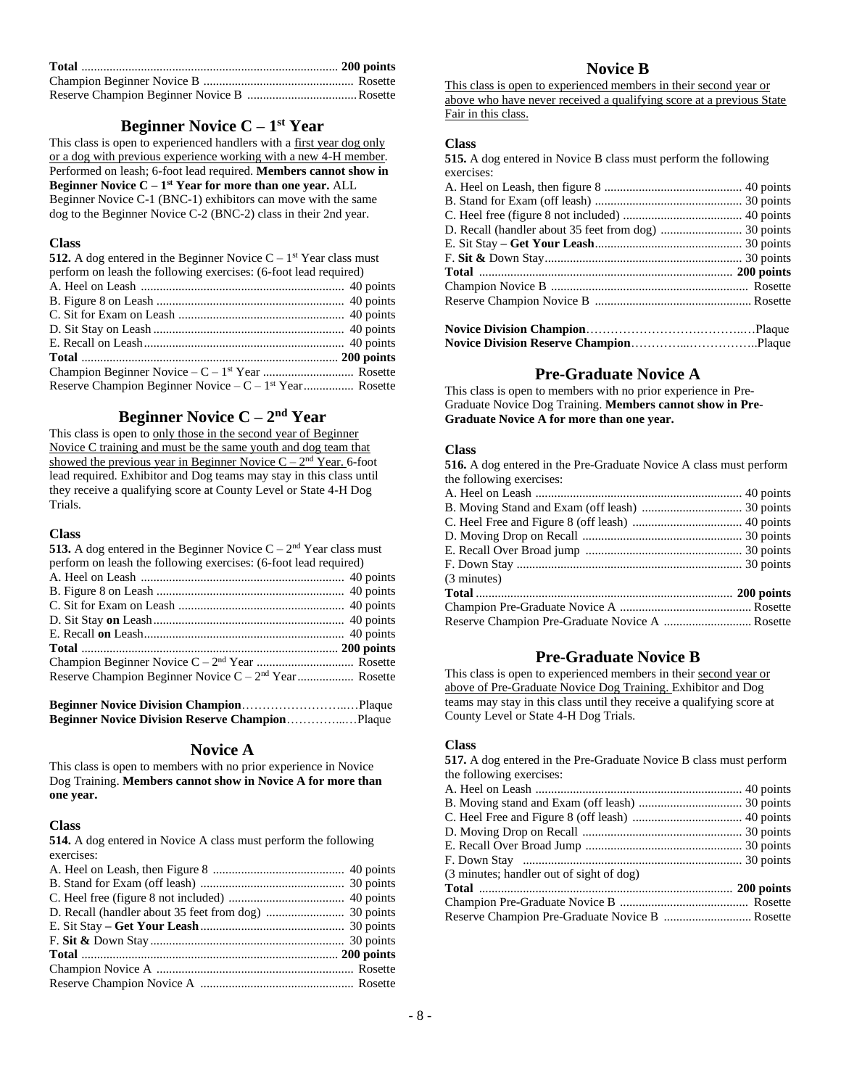## **Beginner Novice C – 1 st Year**

This class is open to experienced handlers with a first year dog only or a dog with previous experience working with a new 4-H member. Performed on leash; 6-foot lead required. **Members cannot show in Beginner Novice C – 1 st Year for more than one year.** ALL Beginner Novice C-1 (BNC-1) exhibitors can move with the same dog to the Beginner Novice C-2 (BNC-2) class in their 2nd year.

#### **Class**

| <b>512.</b> A dog entered in the Beginner Novice $C - 1$ <sup>st</sup> Year class must |  |
|----------------------------------------------------------------------------------------|--|
| perform on leash the following exercises: (6-foot lead required)                       |  |
|                                                                                        |  |
|                                                                                        |  |
|                                                                                        |  |
|                                                                                        |  |
|                                                                                        |  |
|                                                                                        |  |
|                                                                                        |  |
|                                                                                        |  |

## **Beginner Novice C – 2 nd Year**

This class is open to only those in the second year of Beginner Novice C training and must be the same youth and dog team that showed the previous year in Beginner Novice  $C - 2<sup>nd</sup>$  Year. 6-foot lead required. Exhibitor and Dog teams may stay in this class until they receive a qualifying score at County Level or State 4-H Dog Trials.

#### **Class**

| <b>513.</b> A dog entered in the Beginner Novice $C - 2nd$ Year class must                                                                                                                                                                                                                                  |  |
|-------------------------------------------------------------------------------------------------------------------------------------------------------------------------------------------------------------------------------------------------------------------------------------------------------------|--|
| perform on leash the following exercises: (6-foot lead required)                                                                                                                                                                                                                                            |  |
|                                                                                                                                                                                                                                                                                                             |  |
|                                                                                                                                                                                                                                                                                                             |  |
|                                                                                                                                                                                                                                                                                                             |  |
|                                                                                                                                                                                                                                                                                                             |  |
|                                                                                                                                                                                                                                                                                                             |  |
|                                                                                                                                                                                                                                                                                                             |  |
|                                                                                                                                                                                                                                                                                                             |  |
|                                                                                                                                                                                                                                                                                                             |  |
|                                                                                                                                                                                                                                                                                                             |  |
| $\mathbf{D}$ . $\mathbf{M}$ . $\mathbf{L}$ . $\mathbf{D}$ . $\mathbf{L}$ . $\mathbf{L}$ . $\mathbf{L}$ . $\mathbf{L}$ . $\mathbf{L}$ . $\mathbf{L}$ . $\mathbf{L}$ . $\mathbf{L}$ . $\mathbf{L}$ . $\mathbf{L}$ . $\mathbf{L}$ . $\mathbf{L}$ . $\mathbf{L}$ . $\mathbf{L}$ . $\mathbf{L}$ . $\mathbf{L}$ . |  |

**Beginner Novice Division Champion**……………………..…Plaque **Beginner Novice Division Reserve Champion**…………...…Plaque

#### **Novice A**

This class is open to members with no prior experience in Novice Dog Training. **Members cannot show in Novice A for more than one year.**

#### **Class**

**514.** A dog entered in Novice A class must perform the following exercises:

## **Novice B**

This class is open to experienced members in their second year or above who have never received a qualifying score at a previous State Fair in this class.

#### **Class**

**515.** A dog entered in Novice B class must perform the following exercises:

## **Pre-Graduate Novice A**

This class is open to members with no prior experience in Pre-Graduate Novice Dog Training. **Members cannot show in Pre-Graduate Novice A for more than one year.**

#### **Class**

**516.** A dog entered in the Pre-Graduate Novice A class must perform the following exercises:

| (3 minutes)                                     |  |
|-------------------------------------------------|--|
|                                                 |  |
|                                                 |  |
| Reserve Champion Pre-Graduate Novice A  Rosette |  |

## **Pre-Graduate Novice B**

This class is open to experienced members in their second year or above of Pre-Graduate Novice Dog Training. Exhibitor and Dog teams may stay in this class until they receive a qualifying score at County Level or State 4-H Dog Trials.

#### **Class**

**517.** A dog entered in the Pre-Graduate Novice B class must perform the following exercises:

| (3 minutes; handler out of sight of dog) |  |
|------------------------------------------|--|
|                                          |  |
|                                          |  |
|                                          |  |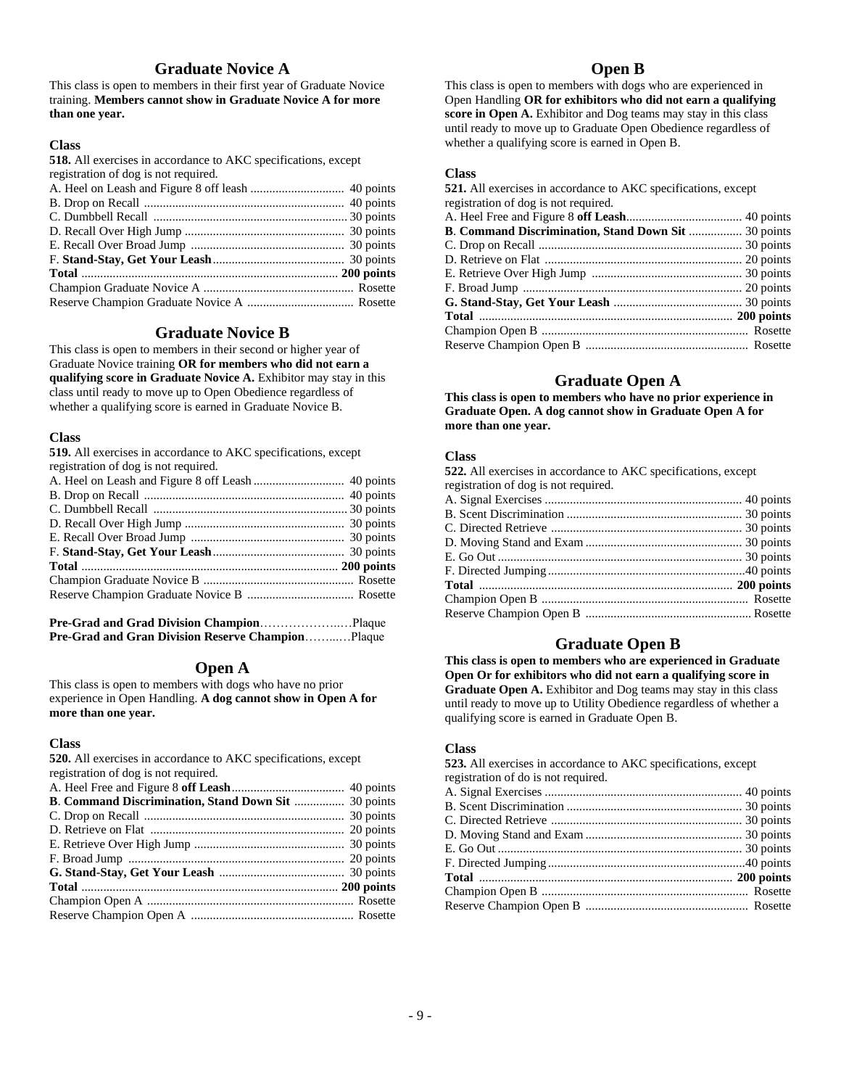## **Graduate Novice A**

This class is open to members in their first year of Graduate Novice training. **Members cannot show in Graduate Novice A for more than one year.**

#### **Class**

**518.** All exercises in accordance to AKC specifications, except registration of dog is not required.

## **Graduate Novice B**

This class is open to members in their second or higher year of Graduate Novice training **OR for members who did not earn a qualifying score in Graduate Novice A.** Exhibitor may stay in this class until ready to move up to Open Obedience regardless of whether a qualifying score is earned in Graduate Novice B.

#### **Class**

| 519. All exercises in accordance to AKC specifications, except |  |
|----------------------------------------------------------------|--|
| registration of dog is not required.                           |  |
|                                                                |  |
|                                                                |  |
|                                                                |  |
|                                                                |  |
|                                                                |  |
|                                                                |  |
|                                                                |  |
|                                                                |  |
|                                                                |  |

| Pre-Grad and Gran Division Reserve ChampionPlaque |  |
|---------------------------------------------------|--|

### **Open A**

This class is open to members with dogs who have no prior experience in Open Handling. **A dog cannot show in Open A for more than one year.**

#### **Class**

**520.** All exercises in accordance to AKC specifications, except registration of dog is not required.

| B. Command Discrimination, Stand Down Sit  30 points |
|------------------------------------------------------|
|                                                      |
|                                                      |
|                                                      |
|                                                      |
|                                                      |
|                                                      |
|                                                      |
|                                                      |
|                                                      |

#### **Open B**

This class is open to members with dogs who are experienced in Open Handling **OR for exhibitors who did not earn a qualifying score in Open A.** Exhibitor and Dog teams may stay in this class until ready to move up to Graduate Open Obedience regardless of whether a qualifying score is earned in Open B.

#### **Class**

| 521. All exercises in accordance to AKC specifications, except |  |
|----------------------------------------------------------------|--|
| registration of dog is not required.                           |  |
|                                                                |  |
| <b>B. Command Discrimination, Stand Down Sit </b> 30 points    |  |
|                                                                |  |
|                                                                |  |
|                                                                |  |
|                                                                |  |
|                                                                |  |
|                                                                |  |
|                                                                |  |
|                                                                |  |
|                                                                |  |

## **Graduate Open A**

**This class is open to members who have no prior experience in Graduate Open. A dog cannot show in Graduate Open A for more than one year.**

#### **Class**

| 522. All exercises in accordance to AKC specifications, except |  |
|----------------------------------------------------------------|--|
| registration of dog is not required.                           |  |
|                                                                |  |
|                                                                |  |
|                                                                |  |
|                                                                |  |
|                                                                |  |
|                                                                |  |
|                                                                |  |
|                                                                |  |
|                                                                |  |
|                                                                |  |

## **Graduate Open B**

**This class is open to members who are experienced in Graduate Open Or for exhibitors who did not earn a qualifying score in Graduate Open A.** Exhibitor and Dog teams may stay in this class until ready to move up to Utility Obedience regardless of whether a qualifying score is earned in Graduate Open B.

#### **Class**

**523.** All exercises in accordance to AKC specifications, except registration of do is not required.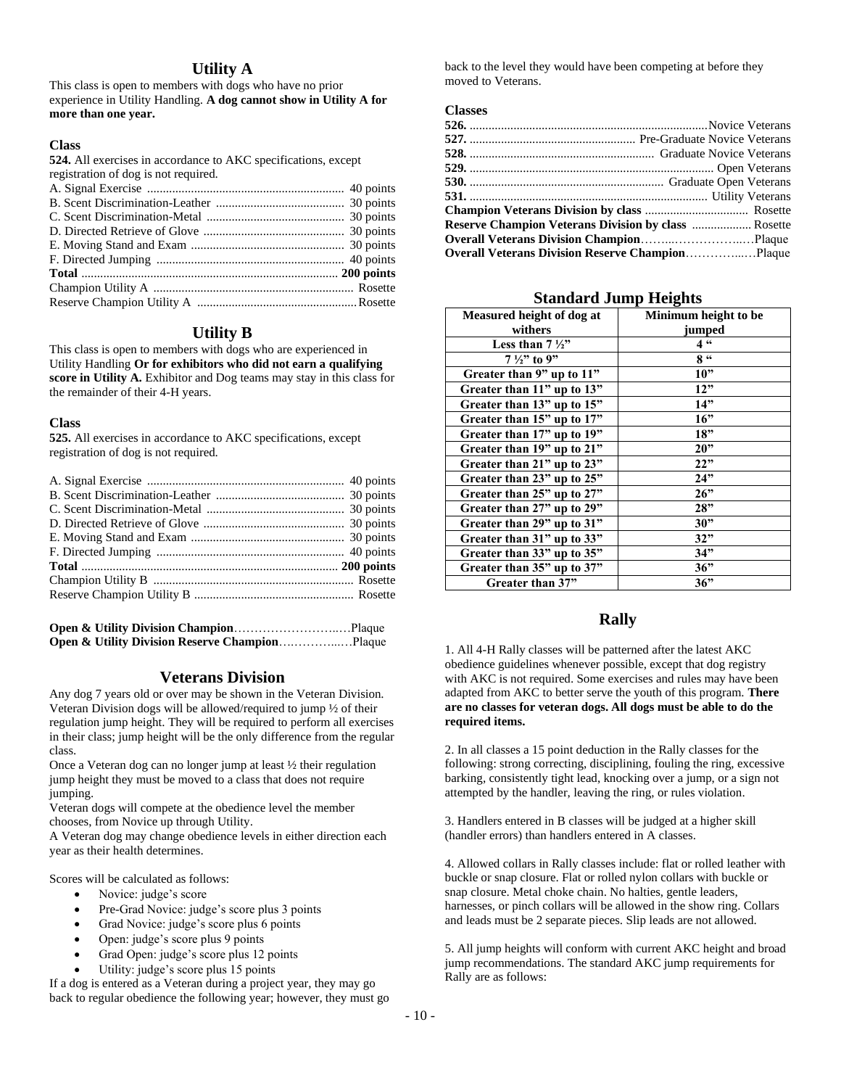### **Utility A**

This class is open to members with dogs who have no prior experience in Utility Handling. **A dog cannot show in Utility A for more than one year.**

#### **Class**

**524.** All exercises in accordance to AKC specifications, except registration of dog is not required.

### **Utility B**

This class is open to members with dogs who are experienced in Utility Handling **Or for exhibitors who did not earn a qualifying score in Utility A.** Exhibitor and Dog teams may stay in this class for the remainder of their 4-H years.

#### **Class**

**525.** All exercises in accordance to AKC specifications, except registration of dog is not required.

### **Veterans Division**

Any dog 7 years old or over may be shown in the Veteran Division. Veteran Division dogs will be allowed/required to jump ½ of their regulation jump height. They will be required to perform all exercises in their class; jump height will be the only difference from the regular class.

Once a Veteran dog can no longer jump at least ½ their regulation jump height they must be moved to a class that does not require jumping.

Veteran dogs will compete at the obedience level the member chooses, from Novice up through Utility.

A Veteran dog may change obedience levels in either direction each year as their health determines.

Scores will be calculated as follows:

- Novice: judge's score
- Pre-Grad Novice: judge's score plus 3 points
- Grad Novice: judge's score plus 6 points
- Open: judge's score plus 9 points
- Grad Open: judge's score plus 12 points
- Utility: judge's score plus 15 points

If a dog is entered as a Veteran during a project year, they may go back to regular obedience the following year; however, they must go back to the level they would have been competing at before they moved to Veterans.

#### **Classes**

| <b>Overall Veterans Division Reserve ChampionPlaque</b> |  |
|---------------------------------------------------------|--|

### **Standard Jump Heights**

| Measured height of dog at  | Minimum height to be |
|----------------------------|----------------------|
| withers                    | jumped               |
| Less than $7\frac{1}{2}$   | 4 66                 |
| $7\frac{1}{2}$ to 9"       | 8 "                  |
| Greater than 9" up to 11"  | 10"                  |
| Greater than 11" up to 13" | 12"                  |
| Greater than 13" up to 15" | 14"                  |
| Greater than 15" up to 17" | 16"                  |
| Greater than 17" up to 19" | 18"                  |
| Greater than 19" up to 21" | 20"                  |
| Greater than 21" up to 23" | 22"                  |
| Greater than 23" up to 25" | 24"                  |
| Greater than 25" up to 27" | 26"                  |
| Greater than 27" up to 29" | 28"                  |
| Greater than 29" up to 31" | 30"                  |
| Greater than 31" up to 33" | 32"                  |
| Greater than 33" up to 35" | 34"                  |
| Greater than 35" up to 37" | 36"                  |
| Greater than 37"           | 36"                  |

## **Rally**

1. All 4-H Rally classes will be patterned after the latest AKC obedience guidelines whenever possible, except that dog registry with AKC is not required. Some exercises and rules may have been adapted from AKC to better serve the youth of this program. **There are no classes for veteran dogs. All dogs must be able to do the required items.**

2. In all classes a 15 point deduction in the Rally classes for the following: strong correcting, disciplining, fouling the ring, excessive barking, consistently tight lead, knocking over a jump, or a sign not attempted by the handler, leaving the ring, or rules violation.

3. Handlers entered in B classes will be judged at a higher skill (handler errors) than handlers entered in A classes.

4. Allowed collars in Rally classes include: flat or rolled leather with buckle or snap closure. Flat or rolled nylon collars with buckle or snap closure. Metal choke chain. No halties, gentle leaders, harnesses, or pinch collars will be allowed in the show ring. Collars and leads must be 2 separate pieces. Slip leads are not allowed.

5. All jump heights will conform with current AKC height and broad jump recommendations. The standard AKC jump requirements for Rally are as follows: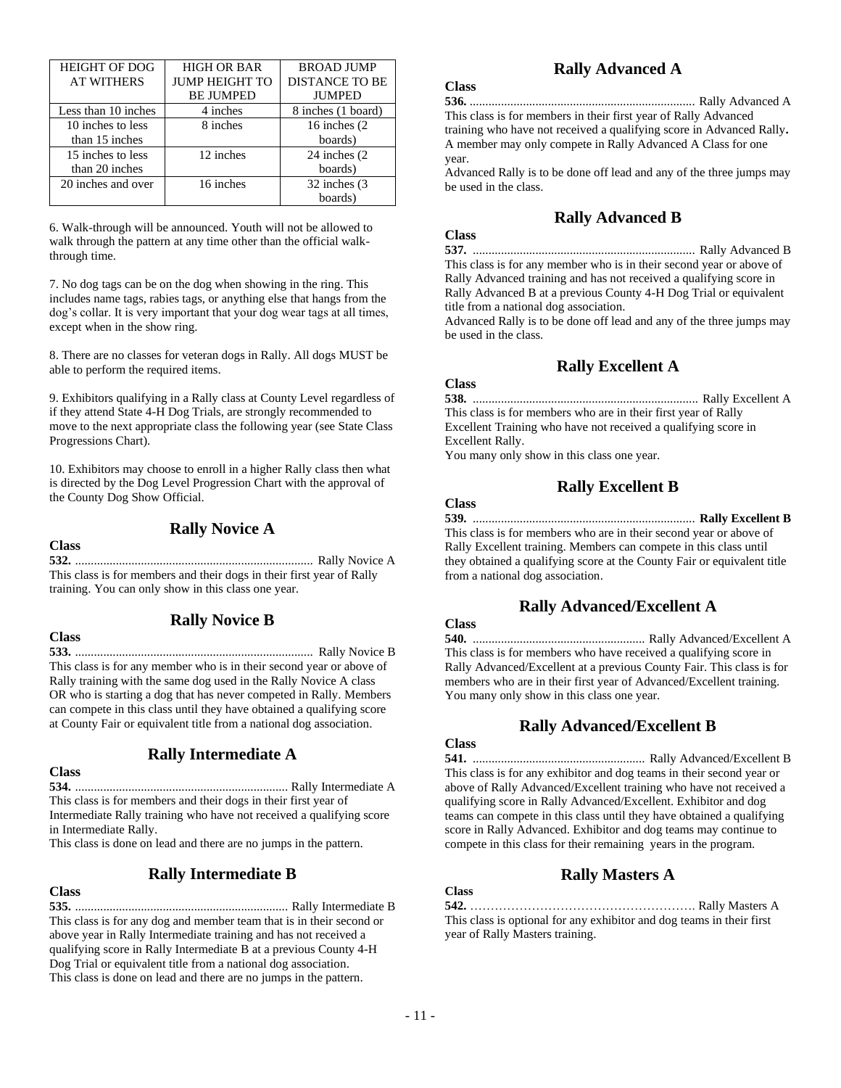| <b>HEIGHT OF DOG</b> | <b>HIGH OR BAR</b>    | <b>BROAD JUMP</b>     |
|----------------------|-----------------------|-----------------------|
| <b>AT WITHERS</b>    | <b>JUMP HEIGHT TO</b> | <b>DISTANCE TO BE</b> |
|                      | <b>BE JUMPED</b>      | <b>JUMPED</b>         |
| Less than 10 inches  | 4 inches              | 8 inches (1 board)    |
| 10 inches to less    | 8 inches              | 16 inches (2)         |
| than 15 inches       |                       | boards)               |
| 15 inches to less    | 12 inches             | 24 inches (2)         |
| than 20 inches       |                       | boards)               |
| 20 inches and over   | 16 inches             | 32 inches (3)         |
|                      |                       | boards)               |

6. Walk-through will be announced. Youth will not be allowed to walk through the pattern at any time other than the official walkthrough time.

7. No dog tags can be on the dog when showing in the ring. This includes name tags, rabies tags, or anything else that hangs from the dog's collar. It is very important that your dog wear tags at all times, except when in the show ring.

8. There are no classes for veteran dogs in Rally. All dogs MUST be able to perform the required items.

9. Exhibitors qualifying in a Rally class at County Level regardless of if they attend State 4-H Dog Trials, are strongly recommended to move to the next appropriate class the following year (see State Class Progressions Chart).

10. Exhibitors may choose to enroll in a higher Rally class then what is directed by the Dog Level Progression Chart with the approval of the County Dog Show Official.

## **Class**

#### **Rally Novice A**

**532.** ............................................................................ Rally Novice A This class is for members and their dogs in their first year of Rally training. You can only show in this class one year.

#### **Class**

## **Rally Novice B**

**533.** ............................................................................ Rally Novice B This class is for any member who is in their second year or above of Rally training with the same dog used in the Rally Novice A class OR who is starting a dog that has never competed in Rally. Members can compete in this class until they have obtained a qualifying score at County Fair or equivalent title from a national dog association.

## **Rally Intermediate A**

## **Class**

**534.** .................................................................... Rally Intermediate A This class is for members and their dogs in their first year of Intermediate Rally training who have not received a qualifying score in Intermediate Rally.

This class is done on lead and there are no jumps in the pattern.

## **Rally Intermediate B**

#### **Class**

**535.** .................................................................... Rally Intermediate B This class is for any dog and member team that is in their second or above year in Rally Intermediate training and has not received a qualifying score in Rally Intermediate B at a previous County 4-H Dog Trial or equivalent title from a national dog association. This class is done on lead and there are no jumps in the pattern.

## **Rally Advanced A**

**Class 536.** ........................................................................ Rally Advanced A This class is for members in their first year of Rally Advanced training who have not received a qualifying score in Advanced Rally**.**  A member may only compete in Rally Advanced A Class for one year.

Advanced Rally is to be done off lead and any of the three jumps may be used in the class.

## **Rally Advanced B**

#### **Class**

**537.** ....................................................................... Rally Advanced B This class is for any member who is in their second year or above of Rally Advanced training and has not received a qualifying score in Rally Advanced B at a previous County 4-H Dog Trial or equivalent title from a national dog association.

Advanced Rally is to be done off lead and any of the three jumps may be used in the class.

## **Rally Excellent A**

#### **Class**

**538.** ........................................................................ Rally Excellent A This class is for members who are in their first year of Rally Excellent Training who have not received a qualifying score in Excellent Rally.

You many only show in this class one year.

## **Rally Excellent B**

## **Class**

#### **539.** ....................................................................... **Rally Excellent B**

This class is for members who are in their second year or above of Rally Excellent training. Members can compete in this class until they obtained a qualifying score at the County Fair or equivalent title from a national dog association.

## **Rally Advanced/Excellent A**

#### **Class**

**540.** ....................................................... Rally Advanced/Excellent A This class is for members who have received a qualifying score in Rally Advanced/Excellent at a previous County Fair. This class is for members who are in their first year of Advanced/Excellent training. You many only show in this class one year.

## **Rally Advanced/Excellent B**

## **Class**

**541.** ....................................................... Rally Advanced/Excellent B This class is for any exhibitor and dog teams in their second year or above of Rally Advanced/Excellent training who have not received a qualifying score in Rally Advanced/Excellent. Exhibitor and dog teams can compete in this class until they have obtained a qualifying score in Rally Advanced. Exhibitor and dog teams may continue to compete in this class for their remaining years in the program.

## **Rally Masters A**

### **Class**

**542.** ………………………………………………. Rally Masters A This class is optional for any exhibitor and dog teams in their first year of Rally Masters training.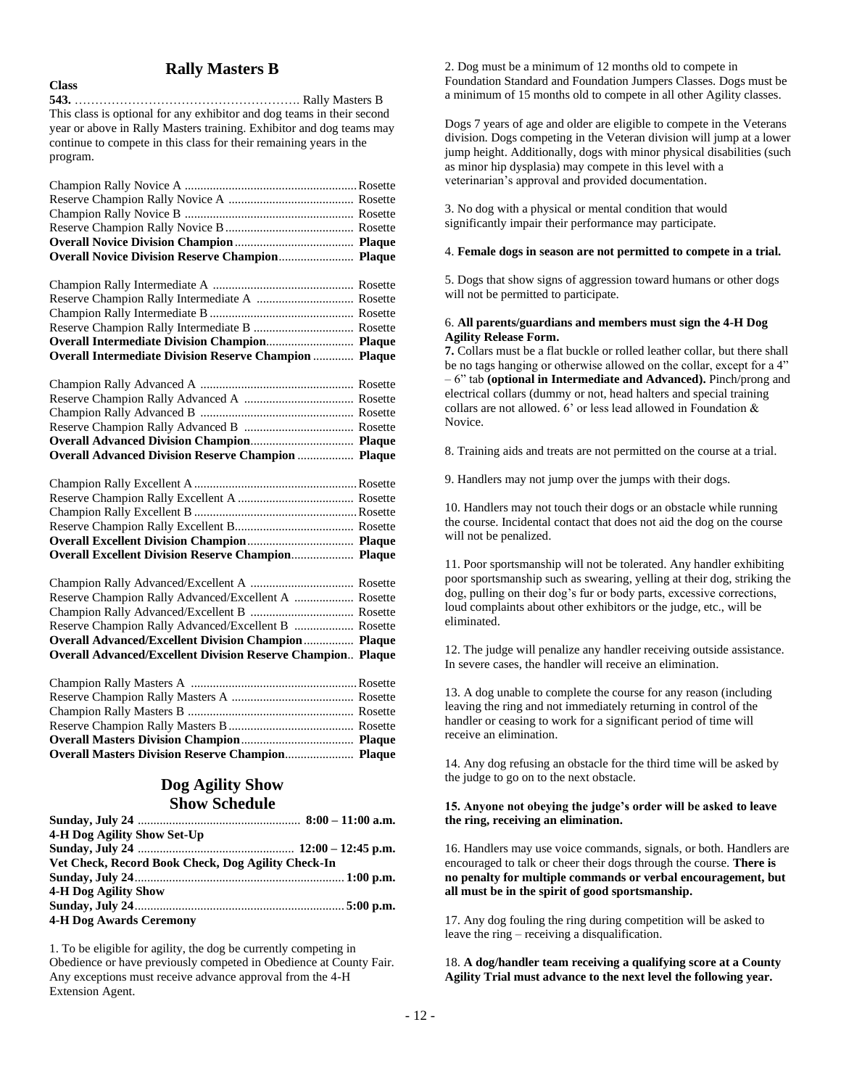## **Rally Masters B**

**Class**

**543.** ………………………………………………. Rally Masters B This class is optional for any exhibitor and dog teams in their second year or above in Rally Masters training. Exhibitor and dog teams may continue to compete in this class for their remaining years in the program.

| <b>Overall Intermediate Division Reserve Champion  Plaque</b> |  |
|---------------------------------------------------------------|--|

| <b>Overall Advanced Division Reserve Champion  Plaque</b> |  |
|-----------------------------------------------------------|--|
|                                                           |  |
|                                                           |  |
|                                                           |  |
|                                                           |  |
|                                                           |  |
|                                                           |  |

| <b>Overall Excellent Division Reserve Champion Plaque</b> |  |
|-----------------------------------------------------------|--|
|                                                           |  |
|                                                           |  |
|                                                           |  |
|                                                           |  |
|                                                           |  |

| Reserve Champion Rally Advanced/Excellent A  Rosette               |  |
|--------------------------------------------------------------------|--|
|                                                                    |  |
|                                                                    |  |
|                                                                    |  |
| <b>Overall Advanced/Excellent Division Reserve Champion Plaque</b> |  |

## **Dog Agility Show Show Schedule**

| 4-H Dog Agility Show Set-Up                        |  |
|----------------------------------------------------|--|
|                                                    |  |
| Vet Check, Record Book Check, Dog Agility Check-In |  |
|                                                    |  |
| <b>4-H Dog Agility Show</b>                        |  |
|                                                    |  |
| <b>4-H Dog Awards Ceremony</b>                     |  |

1. To be eligible for agility, the dog be currently competing in Obedience or have previously competed in Obedience at County Fair. Any exceptions must receive advance approval from the 4-H Extension Agent.

2. Dog must be a minimum of 12 months old to compete in Foundation Standard and Foundation Jumpers Classes. Dogs must be a minimum of 15 months old to compete in all other Agility classes.

Dogs 7 years of age and older are eligible to compete in the Veterans division. Dogs competing in the Veteran division will jump at a lower jump height. Additionally, dogs with minor physical disabilities (such as minor hip dysplasia) may compete in this level with a veterinarian's approval and provided documentation.

3. No dog with a physical or mental condition that would significantly impair their performance may participate.

#### 4. **Female dogs in season are not permitted to compete in a trial.**

5. Dogs that show signs of aggression toward humans or other dogs will not be permitted to participate.

#### 6. **All parents/guardians and members must sign the 4-H Dog Agility Release Form.**

**7.** Collars must be a flat buckle or rolled leather collar, but there shall be no tags hanging or otherwise allowed on the collar, except for a 4" – 6" tab **(optional in Intermediate and Advanced).** Pinch/prong and electrical collars (dummy or not, head halters and special training collars are not allowed. 6' or less lead allowed in Foundation & Novice.

8. Training aids and treats are not permitted on the course at a trial.

9. Handlers may not jump over the jumps with their dogs.

10. Handlers may not touch their dogs or an obstacle while running the course. Incidental contact that does not aid the dog on the course will not be penalized.

11. Poor sportsmanship will not be tolerated. Any handler exhibiting poor sportsmanship such as swearing, yelling at their dog, striking the dog, pulling on their dog's fur or body parts, excessive corrections, loud complaints about other exhibitors or the judge, etc., will be eliminated.

12. The judge will penalize any handler receiving outside assistance. In severe cases, the handler will receive an elimination.

13. A dog unable to complete the course for any reason (including leaving the ring and not immediately returning in control of the handler or ceasing to work for a significant period of time will receive an elimination.

14. Any dog refusing an obstacle for the third time will be asked by the judge to go on to the next obstacle.

#### **15. Anyone not obeying the judge's order will be asked to leave the ring, receiving an elimination.**

16. Handlers may use voice commands, signals, or both. Handlers are encouraged to talk or cheer their dogs through the course. **There is no penalty for multiple commands or verbal encouragement, but all must be in the spirit of good sportsmanship.**

17. Any dog fouling the ring during competition will be asked to leave the ring – receiving a disqualification.

18. **A dog/handler team receiving a qualifying score at a County Agility Trial must advance to the next level the following year.**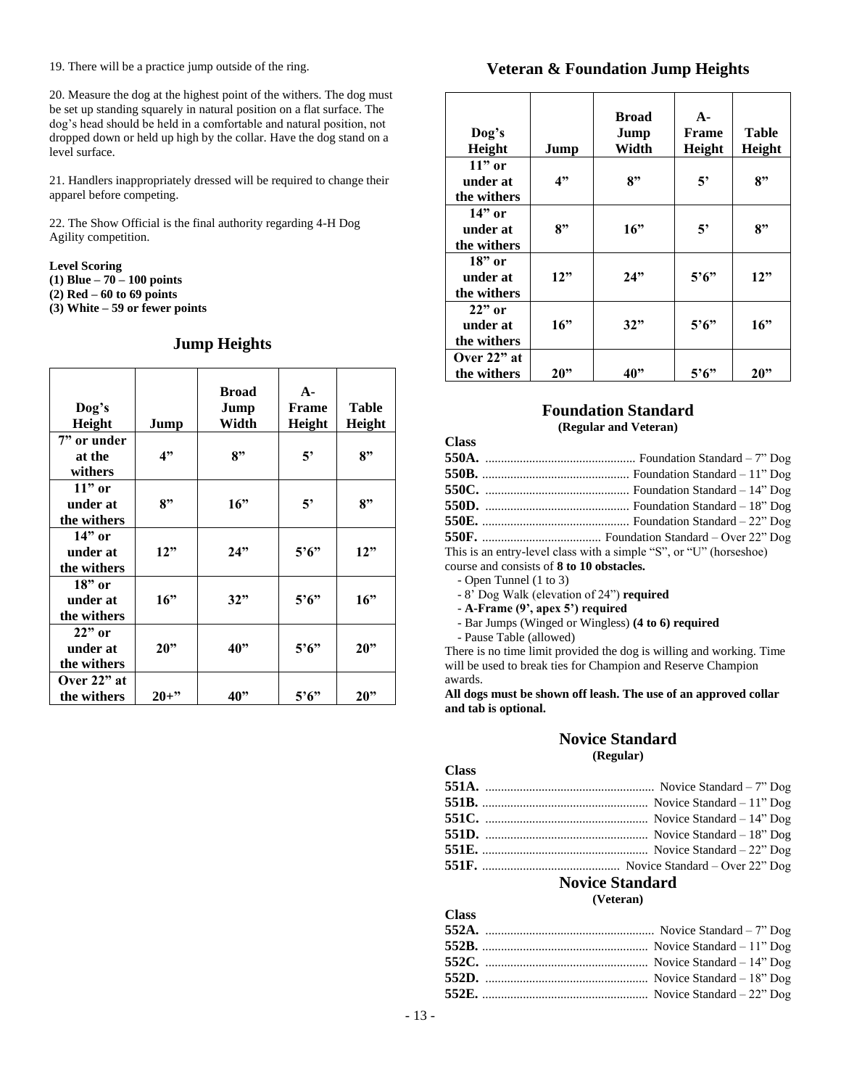19. There will be a practice jump outside of the ring.

20. Measure the dog at the highest point of the withers. The dog must be set up standing squarely in natural position on a flat surface. The dog's head should be held in a comfortable and natural position, not dropped down or held up high by the collar. Have the dog stand on a level surface.

21. Handlers inappropriately dressed will be required to change their apparel before competing.

22. The Show Official is the final authority regarding 4-H Dog Agility competition.

#### **Level Scoring**

**(1) Blue – 70 – 100 points**

**(2) Red – 60 to 69 points**

**(3) White – 59 or fewer points**

#### **Jump Heights**

| Dog's<br>Height                     | Jump     | <b>Broad</b><br>Jump<br>Width | $A -$<br>Frame<br>Height | Table<br>Height |
|-------------------------------------|----------|-------------------------------|--------------------------|-----------------|
| 7" or under<br>at the<br>withers    | 4"       | 8"                            | 5'                       | 8"              |
| $11"$ or<br>under at<br>the withers | 8"       | 16"                           | 5'                       | 8"              |
| $14"$ or<br>under at<br>the withers | 12"      | 24"                           | $5^{\circ}6^{\circ}$     | 12"             |
| $18"$ or<br>under at<br>the withers | 16"      | 32"                           | $5^{\circ}6^{\circ}$     | 16"             |
| $22"$ or<br>under at<br>the withers | 20"      | 40"                           | $5^{\circ}6^{\circ}$     | 20"             |
| Over 22" at<br>the withers          | $20 +$ " | 40"                           | $5^{\circ}6^{\circ}$     | 20"             |

## **Veteran & Foundation Jump Heights**

| Dog's<br>Height                     | Jump             | <b>Broad</b><br>Jump<br>Width | $A -$<br><b>Frame</b><br>Height | Table<br>Height |
|-------------------------------------|------------------|-------------------------------|---------------------------------|-----------------|
| $11"$ or<br>under at<br>the withers | 4"               | 8"                            | 5'                              | 8"              |
| $14"$ or<br>under at<br>the withers | $\mathbf{R}^{,}$ | 16"                           | 5'                              | 8"              |
| $18"$ or<br>under at<br>the withers | 12"              | 24"                           | 5'6"                            | 12"             |
| $22"$ or<br>under at<br>the withers | 16"              | 32"                           | $5^{\circ}6^{\circ}$            | 16"             |
| Over 22" at<br>the withers          | 20"              | 40"                           | $5^{\circ}6^{\circ}$            | 20"             |

#### **Foundation Standard (Regular and Veteran)**

| This is an entry-level class with a simple "S", or "U" (horseshoe) |
|--------------------------------------------------------------------|
|                                                                    |

course and consists of **8 to 10 obstacles.**

- Open Tunnel (1 to 3)

**Class**

**Class**

**Class**

- 8' Dog Walk (elevation of 24") **required**

- **A-Frame (9', apex 5') required**

- Bar Jumps (Winged or Wingless) **(4 to 6) required**
- Pause Table (allowed)

There is no time limit provided the dog is willing and working. Time will be used to break ties for Champion and Reserve Champion awards.

**All dogs must be shown off leash. The use of an approved collar and tab is optional.**

#### **Novice Standard (Regular)**

|        | <b>Novice Standard</b> |
|--------|------------------------|
|        |                        |
|        |                        |
|        |                        |
|        |                        |
|        |                        |
|        |                        |
| VJASS. |                        |

**(Veteran)**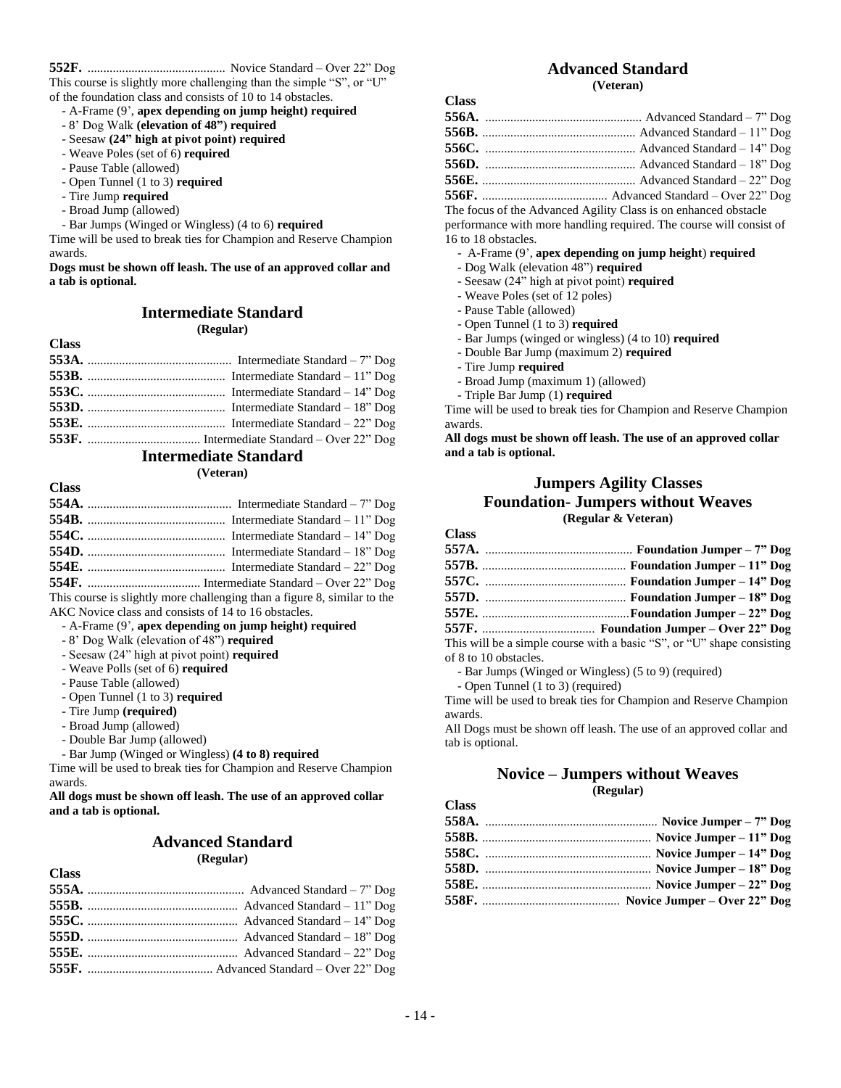**Class**

**Class**

**552F.** ............................................ Novice Standard – Over 22" Dog This course is slightly more challenging than the simple "S", or "U"

of the foundation class and consists of 10 to 14 obstacles.

- A-Frame (9', **apex depending on jump height) required**
- 8' Dog Walk **(elevation of 48") required**
- Seesaw **(24" high at pivot point) required**
- Weave Poles (set of 6) **required**
- Pause Table (allowed)
- Open Tunnel (1 to 3) **required**
- Tire Jump **required**
- Broad Jump (allowed)
- Bar Jumps (Winged or Wingless) (4 to 6) **required**

Time will be used to break ties for Champion and Reserve Champion awards.

**Dogs must be shown off leash. The use of an approved collar and a tab is optional.** 

#### **Intermediate Standard (Regular)**

| <b>Class</b> |  |
|--------------|--|
|              |  |
|              |  |
|              |  |
|              |  |
|              |  |
|              |  |

## **Intermediate Standard**

**(Veteran)**

This course is slightly more challenging than a figure 8, similar to the AKC Novice class and consists of 14 to 16 obstacles.

- A-Frame (9', **apex depending on jump height) required**
- 8' Dog Walk (elevation of 48") **required**
- Seesaw (24" high at pivot point) **required**
- Weave Polls (set of 6) **required**
- Pause Table (allowed)
- Open Tunnel (1 to 3) **required**
- **-** Tire Jump **(required)**
- Broad Jump (allowed)
- Double Bar Jump (allowed)
- Bar Jump (Winged or Wingless) **(4 to 8) required**

Time will be used to break ties for Champion and Reserve Champion awards.

**All dogs must be shown off leash. The use of an approved collar and a tab is optional.**

## **Advanced Standard**

**(Regular)**

| . . <i>.</i> |  |
|--------------|--|
|              |  |
|              |  |
|              |  |
|              |  |
|              |  |
|              |  |
|              |  |

## **Advanced Standard**

**(Veteran)**

| The feave of the Advenged Agility Close is an enhanced obstacle |
|-----------------------------------------------------------------|

The focus of the Advanced Agility Class is on enhanced obstacle performance with more handling required. The course will consist of 16 to 18 obstacles.

- A-Frame (9', **apex depending on jump height**) **required**
- Dog Walk (elevation 48") **required**
- Seesaw (24" high at pivot point) **required**
- **-** Weave Poles (set of 12 poles)
- Pause Table (allowed)
- Open Tunnel (1 to 3) **required**
- Bar Jumps (winged or wingless) (4 to 10) **required**
- Double Bar Jump (maximum 2) **required**
- Tire Jump **required**
- Broad Jump (maximum 1) (allowed)
- Triple Bar Jump (1) **required**

Time will be used to break ties for Champion and Reserve Champion awards.

**All dogs must be shown off leash. The use of an approved collar and a tab is optional.**

### **Jumpers Agility Classes Foundation- Jumpers without Weaves (Regular & Veteran)**

**Class**

| This will be a simple course with a basic "S", or "U" shape consisting |
|------------------------------------------------------------------------|

of 8 to 10 obstacles.

- Bar Jumps (Winged or Wingless) (5 to 9) (required)

- Open Tunnel (1 to 3) (required)

Time will be used to break ties for Champion and Reserve Champion awards.

All Dogs must be shown off leash. The use of an approved collar and tab is optional.

#### **Novice – Jumpers without Weaves (Regular)**

| <b>Class</b> |  |
|--------------|--|
|              |  |
|              |  |
|              |  |
|              |  |
|              |  |
|              |  |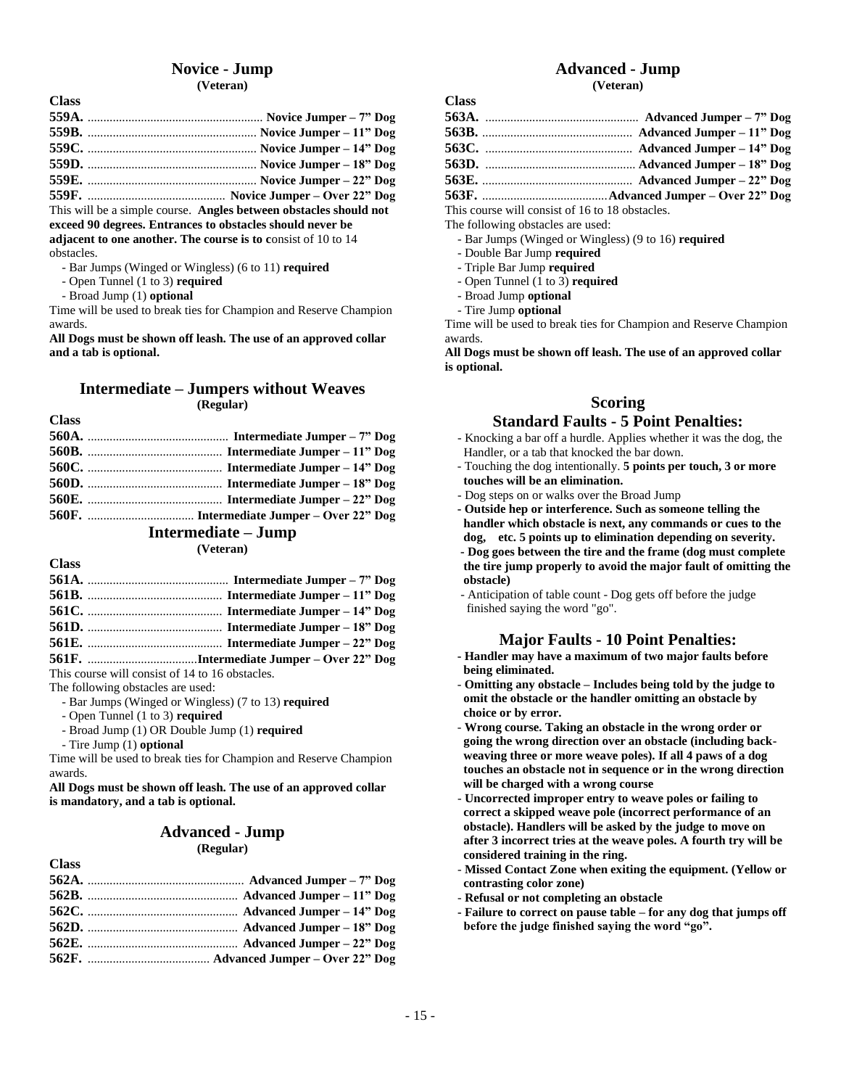## **Novice - Jump**

#### **(Veteran)**

| $F F \Lambda T$ | $\mathbf{r}$ , $\mathbf{r}$ , $\mathbf{r}$ , $\mathbf{r}$ , $\mathbf{r}$ , $\mathbf{r}$ , $\mathbf{r}$ , $\mathbf{r}$ , $\mathbf{r}$ , $\mathbf{r}$ , $\mathbf{r}$ , $\mathbf{r}$ , $\mathbf{r}$ , $\mathbf{r}$ , $\mathbf{r}$ , $\mathbf{r}$ , $\mathbf{r}$ , $\mathbf{r}$ , $\mathbf{r}$ , $\mathbf{r}$ , |
|-----------------|-------------------------------------------------------------------------------------------------------------------------------------------------------------------------------------------------------------------------------------------------------------------------------------------------------------|

**559F.** ............................................ **Novice Jumper – Over 22" Dog** This will be a simple course. **Angles between obstacles should not exceed 90 degrees. Entrances to obstacles should never be adjacent to one another. The course is to c**onsist of 10 to 14 obstacles.

- Bar Jumps (Winged or Wingless) (6 to 11) **required**
- Open Tunnel (1 to 3) **required**
- Broad Jump (1) **optional**

**Class**

**Class**

Time will be used to break ties for Champion and Reserve Champion awards.

**All Dogs must be shown off leash. The use of an approved collar and a tab is optional.**

#### **Intermediate – Jumpers without Weaves (Regular)**

#### **Intermediate – Jump**

**(Veteran)**

| <b>Class</b> |                                                                                                                                        |
|--------------|----------------------------------------------------------------------------------------------------------------------------------------|
|              |                                                                                                                                        |
|              |                                                                                                                                        |
|              |                                                                                                                                        |
|              |                                                                                                                                        |
|              |                                                                                                                                        |
|              | $E(1F$ $I1 + I2 + I3 + I4 + I5 + I6 + I7 + I8 + I9 + I10 + I11 + I10 + I11 + I11 + I12 + I13 + I14 + I15 + I16 + I17 + I18 + I19 + I<$ |

**561F.** ...................................**Intermediate Jumper – Over 22" Dog** This course will consist of 14 to 16 obstacles.

The following obstacles are used:

- Bar Jumps (Winged or Wingless) (7 to 13) **required**
- Open Tunnel (1 to 3) **required**
- Broad Jump (1) OR Double Jump (1) **required**
- Tire Jump (1) **optional**

**Class**

Time will be used to break ties for Champion and Reserve Champion awards.

**All Dogs must be shown off leash. The use of an approved collar is mandatory, and a tab is optional.**

## **Advanced - Jump**

## **(Regular)**

## **Advanced - Jump**

**(Veteran)**

This course will consist of 16 to 18 obstacles.

- The following obstacles are used:
	- Bar Jumps (Winged or Wingless) (9 to 16) **required**
	- Double Bar Jump **required**
	- Triple Bar Jump **required**
	- Open Tunnel (1 to 3) **required**
	- Broad Jump **optional**
	- Tire Jump **optional**

**Class**

Time will be used to break ties for Champion and Reserve Champion awards.

**All Dogs must be shown off leash. The use of an approved collar is optional.**

#### **Scoring**

#### **Standard Faults - 5 Point Penalties:**

- Knocking a bar off a hurdle. Applies whether it was the dog, the Handler, or a tab that knocked the bar down.
- Touching the dog intentionally. **5 points per touch, 3 or more touches will be an elimination.**
- Dog steps on or walks over the Broad Jump
- **- Outside hep or interference. Such as someone telling the handler which obstacle is next, any commands or cues to the dog, etc. 5 points up to elimination depending on severity.**
- **- Dog goes between the tire and the frame (dog must complete the tire jump properly to avoid the major fault of omitting the obstacle)**
- Anticipation of table count Dog gets off before the judge finished saying the word "go".

#### **Major Faults - 10 Point Penalties:**

- **- Handler may have a maximum of two major faults before being eliminated.**
- **Omitting any obstacle – Includes being told by the judge to omit the obstacle or the handler omitting an obstacle by choice or by error.**
- **Wrong course. Taking an obstacle in the wrong order or going the wrong direction over an obstacle (including backweaving three or more weave poles). If all 4 paws of a dog touches an obstacle not in sequence or in the wrong direction will be charged with a wrong course**
- **Uncorrected improper entry to weave poles or failing to correct a skipped weave pole (incorrect performance of an obstacle). Handlers will be asked by the judge to move on after 3 incorrect tries at the weave poles. A fourth try will be considered training in the ring.**
- **Missed Contact Zone when exiting the equipment. (Yellow or contrasting color zone)**
- **Refusal or not completing an obstacle**
- **- Failure to correct on pause table – for any dog that jumps off before the judge finished saying the word "go".**